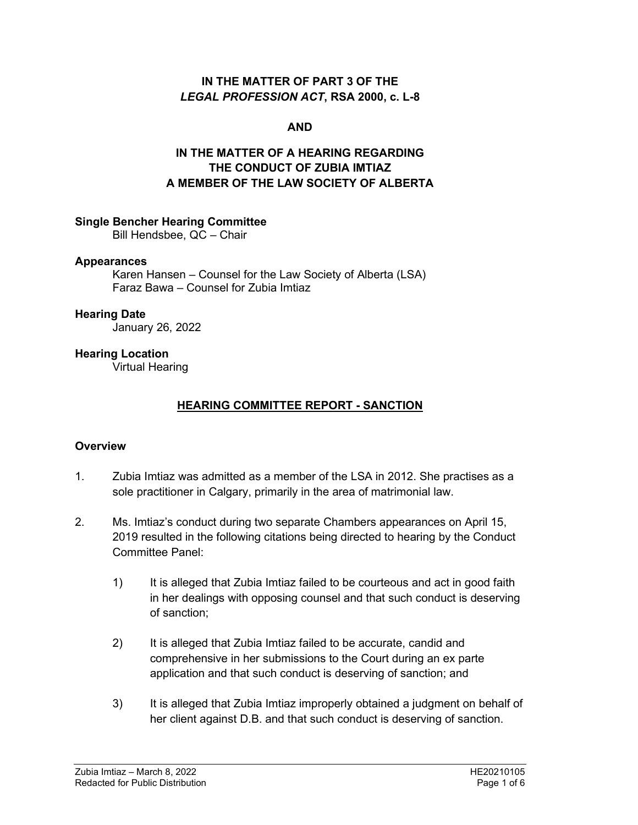### **IN THE MATTER OF PART 3 OF THE**  *LEGAL PROFESSION ACT***, RSA 2000, c. L-8**

### **AND**

# **IN THE MATTER OF A HEARING REGARDING THE CONDUCT OF ZUBIA IMTIAZ A MEMBER OF THE LAW SOCIETY OF ALBERTA**

### **Single Bencher Hearing Committee**

Bill Hendsbee, QC – Chair

### **Appearances**

Karen Hansen – Counsel for the Law Society of Alberta (LSA) Faraz Bawa – Counsel for Zubia Imtiaz

#### **Hearing Date**

January 26, 2022

### **Hearing Location**

Virtual Hearing

### **HEARING COMMITTEE REPORT - SANCTION**

### **Overview**

- 1. Zubia Imtiaz was admitted as a member of the LSA in 2012. She practises as a sole practitioner in Calgary, primarily in the area of matrimonial law.
- 2. Ms. Imtiaz's conduct during two separate Chambers appearances on April 15, 2019 resulted in the following citations being directed to hearing by the Conduct Committee Panel:
	- 1) It is alleged that Zubia Imtiaz failed to be courteous and act in good faith in her dealings with opposing counsel and that such conduct is deserving of sanction;
	- 2) It is alleged that Zubia Imtiaz failed to be accurate, candid and comprehensive in her submissions to the Court during an ex parte application and that such conduct is deserving of sanction; and
	- 3) It is alleged that Zubia Imtiaz improperly obtained a judgment on behalf of her client against D.B. and that such conduct is deserving of sanction.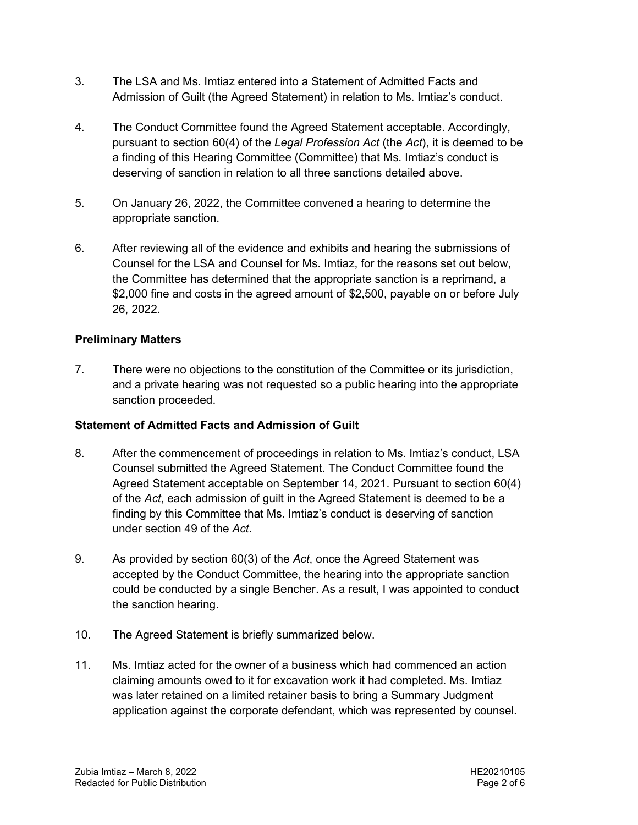- 3. The LSA and Ms. Imtiaz entered into a Statement of Admitted Facts and Admission of Guilt (the Agreed Statement) in relation to Ms. Imtiaz's conduct.
- 4. The Conduct Committee found the Agreed Statement acceptable. Accordingly, pursuant to section 60(4) of the *Legal Profession Act* (the *Act*), it is deemed to be a finding of this Hearing Committee (Committee) that Ms. Imtiaz's conduct is deserving of sanction in relation to all three sanctions detailed above.
- 5. On January 26, 2022, the Committee convened a hearing to determine the appropriate sanction.
- 6. After reviewing all of the evidence and exhibits and hearing the submissions of Counsel for the LSA and Counsel for Ms. Imtiaz, for the reasons set out below, the Committee has determined that the appropriate sanction is a reprimand, a \$2,000 fine and costs in the agreed amount of \$2,500, payable on or before July 26, 2022.

## **Preliminary Matters**

7. There were no objections to the constitution of the Committee or its jurisdiction, and a private hearing was not requested so a public hearing into the appropriate sanction proceeded.

# **Statement of Admitted Facts and Admission of Guilt**

- 8. After the commencement of proceedings in relation to Ms. Imtiaz's conduct, LSA Counsel submitted the Agreed Statement. The Conduct Committee found the Agreed Statement acceptable on September 14, 2021. Pursuant to section 60(4) of the *Act*, each admission of guilt in the Agreed Statement is deemed to be a finding by this Committee that Ms. Imtiaz's conduct is deserving of sanction under section 49 of the *Act*.
- 9. As provided by section 60(3) of the *Act*, once the Agreed Statement was accepted by the Conduct Committee, the hearing into the appropriate sanction could be conducted by a single Bencher. As a result, I was appointed to conduct the sanction hearing.
- 10. The Agreed Statement is briefly summarized below.
- 11. Ms. Imtiaz acted for the owner of a business which had commenced an action claiming amounts owed to it for excavation work it had completed. Ms. Imtiaz was later retained on a limited retainer basis to bring a Summary Judgment application against the corporate defendant, which was represented by counsel.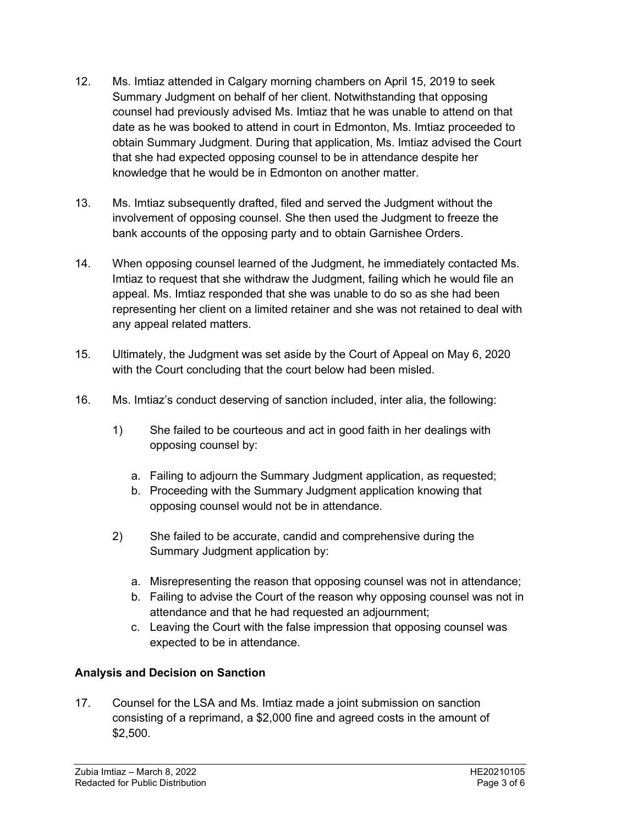- 12. Ms. Imtiaz attended in Calgary morning chambers on April 15, 2019 to seek Summary Judgment on behalf of her client. Notwithstanding that opposing counsel had previously advised Ms. Imtiaz that he was unable to attend on that date as he was booked to attend in court in Edmonton, Ms. Imtiaz proceeded to obtain Summary Judgment. During that application, Ms. Imtiaz advised the Court that she had expected opposing counsel to be in attendance despite her knowledge that he would be in Edmonton on another matter.
- 13. Ms. Imtiaz subsequently drafted, filed and served the Judgment without the involvement of opposing counsel. She then used the Judgment to freeze the bank accounts of the opposing party and to obtain Garnishee Orders.
- 14. When opposing counsel learned of the Judgment, he immediately contacted Ms. Imtiaz to request that she withdraw the Judgment, failing which he would file an appeal. Ms. Imtiaz responded that she was unable to do so as she had been representing her client on a limited retainer and she was not retained to deal with any appeal related matters.
- 15. Ultimately, the Judgment was set aside by the Court of Appeal on May 6, 2020 with the Court concluding that the court below had been misled.
- 16. Ms. Imtiaz's conduct deserving of sanction included, inter alia, the following:
	- 1) She failed to be courteous and act in good faith in her dealings with opposing counsel by:
		- a. Failing to adjourn the Summary Judgment application, as requested;
		- b. Proceeding with the Summary Judgment application knowing that opposing counsel would not be in attendance.
	- 2) She failed to be accurate, candid and comprehensive during the Summary Judgment application by:
		- a. Misrepresenting the reason that opposing counsel was not in attendance;
		- b. Failing to advise the Court of the reason why opposing counsel was not in attendance and that he had requested an adjournment;
		- c. Leaving the Court with the false impression that opposing counsel was expected to be in attendance.

# **Analysis and Decision on Sanction**

17. Counsel for the LSA and Ms. Imtiaz made a joint submission on sanction consisting of a reprimand, a \$2,000 fine and agreed costs in the amount of \$2,500.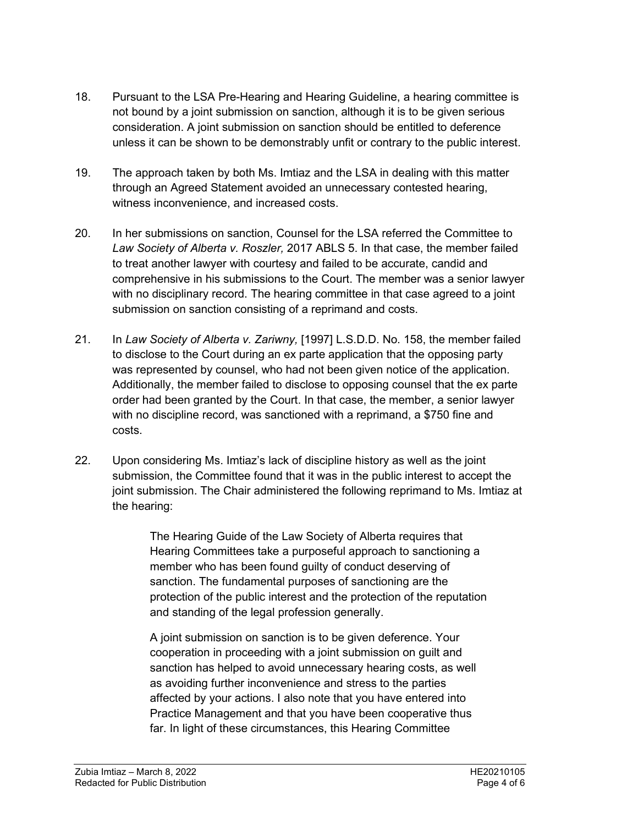- 18. Pursuant to the LSA Pre-Hearing and Hearing Guideline, a hearing committee is not bound by a joint submission on sanction, although it is to be given serious consideration. A joint submission on sanction should be entitled to deference unless it can be shown to be demonstrably unfit or contrary to the public interest.
- 19. The approach taken by both Ms. Imtiaz and the LSA in dealing with this matter through an Agreed Statement avoided an unnecessary contested hearing, witness inconvenience, and increased costs.
- 20. In her submissions on sanction, Counsel for the LSA referred the Committee to *Law Society of Alberta v. Roszler,* 2017 ABLS 5. In that case, the member failed to treat another lawyer with courtesy and failed to be accurate, candid and comprehensive in his submissions to the Court. The member was a senior lawyer with no disciplinary record. The hearing committee in that case agreed to a joint submission on sanction consisting of a reprimand and costs.
- 21. In *Law Society of Alberta v. Zariwny,* [1997] L.S.D.D. No. 158, the member failed to disclose to the Court during an ex parte application that the opposing party was represented by counsel, who had not been given notice of the application. Additionally, the member failed to disclose to opposing counsel that the ex parte order had been granted by the Court. In that case, the member, a senior lawyer with no discipline record, was sanctioned with a reprimand, a \$750 fine and costs.
- 22. Upon considering Ms. Imtiaz's lack of discipline history as well as the joint submission, the Committee found that it was in the public interest to accept the joint submission. The Chair administered the following reprimand to Ms. Imtiaz at the hearing:

The Hearing Guide of the Law Society of Alberta requires that Hearing Committees take a purposeful approach to sanctioning a member who has been found guilty of conduct deserving of sanction. The fundamental purposes of sanctioning are the protection of the public interest and the protection of the reputation and standing of the legal profession generally.

A joint submission on sanction is to be given deference. Your cooperation in proceeding with a joint submission on guilt and sanction has helped to avoid unnecessary hearing costs, as well as avoiding further inconvenience and stress to the parties affected by your actions. I also note that you have entered into Practice Management and that you have been cooperative thus far. In light of these circumstances, this Hearing Committee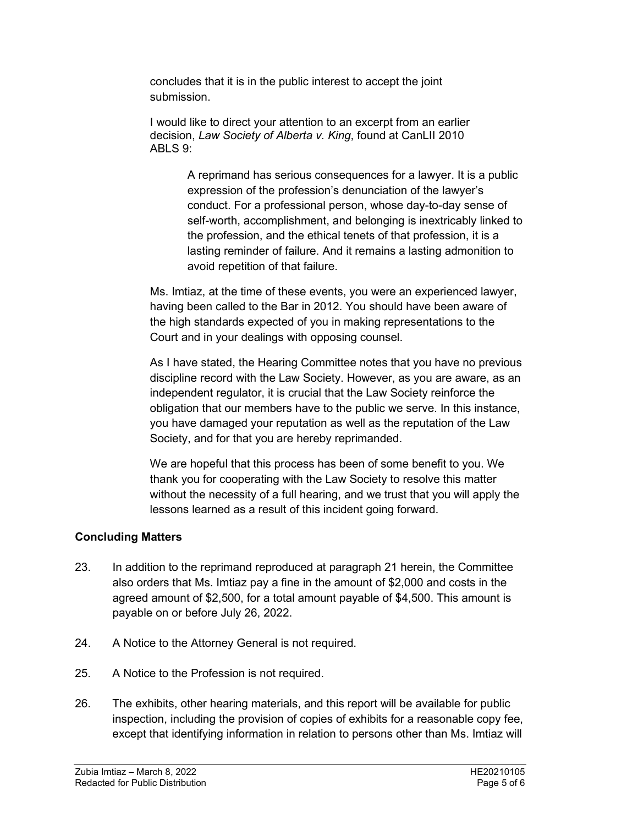concludes that it is in the public interest to accept the joint submission.

I would like to direct your attention to an excerpt from an earlier decision, *Law Society of Alberta v. King*, found at CanLII 2010 ABLS 9:

> A reprimand has serious consequences for a lawyer. It is a public expression of the profession's denunciation of the lawyer's conduct. For a professional person, whose day-to-day sense of self-worth, accomplishment, and belonging is inextricably linked to the profession, and the ethical tenets of that profession, it is a lasting reminder of failure. And it remains a lasting admonition to avoid repetition of that failure.

Ms. Imtiaz, at the time of these events, you were an experienced lawyer, having been called to the Bar in 2012. You should have been aware of the high standards expected of you in making representations to the Court and in your dealings with opposing counsel.

As I have stated, the Hearing Committee notes that you have no previous discipline record with the Law Society. However, as you are aware, as an independent regulator, it is crucial that the Law Society reinforce the obligation that our members have to the public we serve. In this instance, you have damaged your reputation as well as the reputation of the Law Society, and for that you are hereby reprimanded.

We are hopeful that this process has been of some benefit to you. We thank you for cooperating with the Law Society to resolve this matter without the necessity of a full hearing, and we trust that you will apply the lessons learned as a result of this incident going forward.

### **Concluding Matters**

- 23. In addition to the reprimand reproduced at paragraph 21 herein, the Committee also orders that Ms. Imtiaz pay a fine in the amount of \$2,000 and costs in the agreed amount of \$2,500, for a total amount payable of \$4,500. This amount is payable on or before July 26, 2022.
- 24. A Notice to the Attorney General is not required.
- 25. A Notice to the Profession is not required.
- 26. The exhibits, other hearing materials, and this report will be available for public inspection, including the provision of copies of exhibits for a reasonable copy fee, except that identifying information in relation to persons other than Ms. Imtiaz will